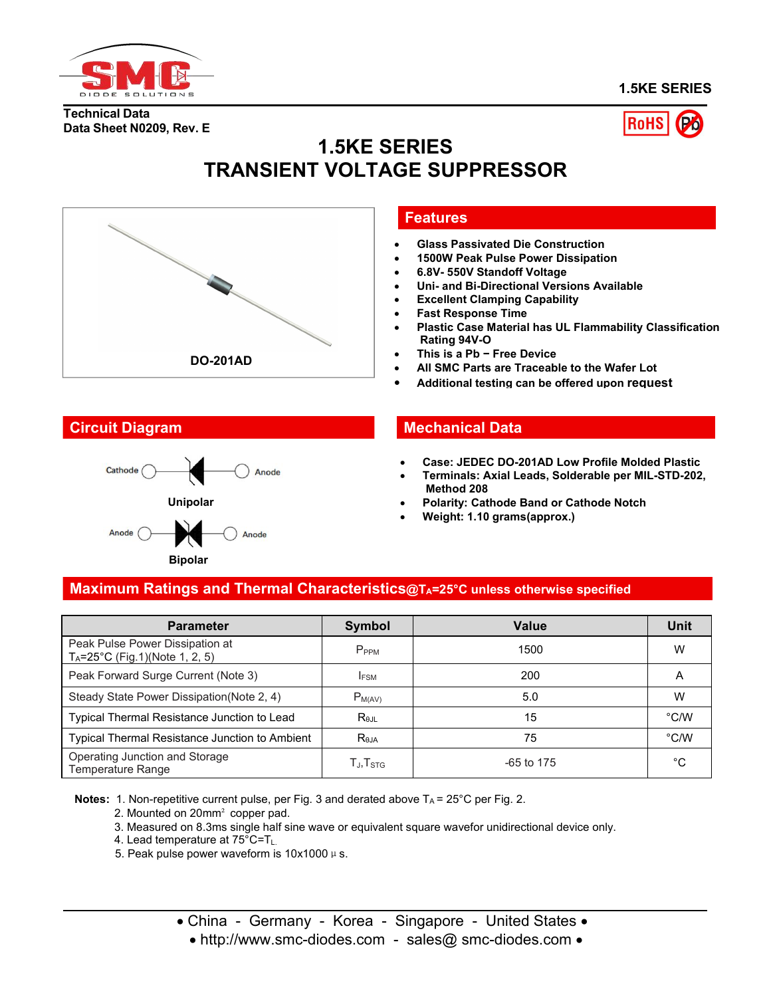

**1.5KE SERIES**

**Technical Data Data Sheet N0209, Rev. E**



# **1.5KE SERIES TRANSIENT VOLTAGE SUPPRESSOR**





#### **Features**

- **Glass Passivated Die Construction**
- **1500W Peak Pulse Power Dissipation**
- **6.8V- 550V Standoff Voltage**
- **Uni- and Bi-Directional Versions Available**
- **Excellent Clamping Capability**
- **Fast Response Time**
- **Plastic Case Material has UL Flammability Classification Rating 94V-O**
- **This is a Pb − Free Device**
- **All SMC Parts are Traceable to the Wafer Lot**
- **Additional testing can be offered upon request**

#### **Circuit Diagram Mechanical Data**

- **Case: JEDEC DO-201AD Low Profile Molded Plastic**
- **Terminals: Axial Leads, Solderable per MIL-STD-202, Method 208**
- **Polarity: Cathode Band or Cathode Notch**
- **Weight: 1.10 grams(approx.)**

### **Maximum Ratings and Thermal Characteristics@TA=25°C unless otherwise specified**

| <b>Parameter</b>                                                              | Symbol                                               | <b>Value</b> | <b>Unit</b>   |
|-------------------------------------------------------------------------------|------------------------------------------------------|--------------|---------------|
| Peak Pulse Power Dissipation at<br>$T_A = 25^{\circ}$ C (Fig.1)(Note 1, 2, 5) | P <sub>PPM</sub>                                     | 1500         | W             |
| Peak Forward Surge Current (Note 3)                                           | <b>IFSM</b>                                          | 200          | A             |
| Steady State Power Dissipation(Note 2, 4)                                     | $P_{M(AV)}$                                          | 5.0          | W             |
| Typical Thermal Resistance Junction to Lead                                   | $R_{\theta$ JL                                       | 15           | $\degree$ C/W |
| Typical Thermal Resistance Junction to Ambient                                | $R_{\theta$ JA                                       | 75           | °C/W          |
| Operating Junction and Storage<br>Temperature Range                           | $\mathsf{T}_{\mathsf{J}}, \mathsf{T}_{\mathsf{STG}}$ | $-65$ to 175 | $^{\circ}C$   |

**Notes:** 1. Non-repetitive current pulse, per Fig. 3 and derated above T<sub>A</sub> = 25°C per Fig. 2.

- 2. Mounted on 20mm² copper pad.
- 3. Measured on 8.3ms single half sine wave or equivalent square wavefor unidirectional device only.
- 4. Lead temperature at  $75^{\circ}$ C=T<sub>L.</sub>
- 5. Peak pulse power waveform is  $10x1000 \mu s$ .

• China - Germany - Korea - Singapore - United States •

• http://www.smc-diodes.com - sales@ smc-diodes.com •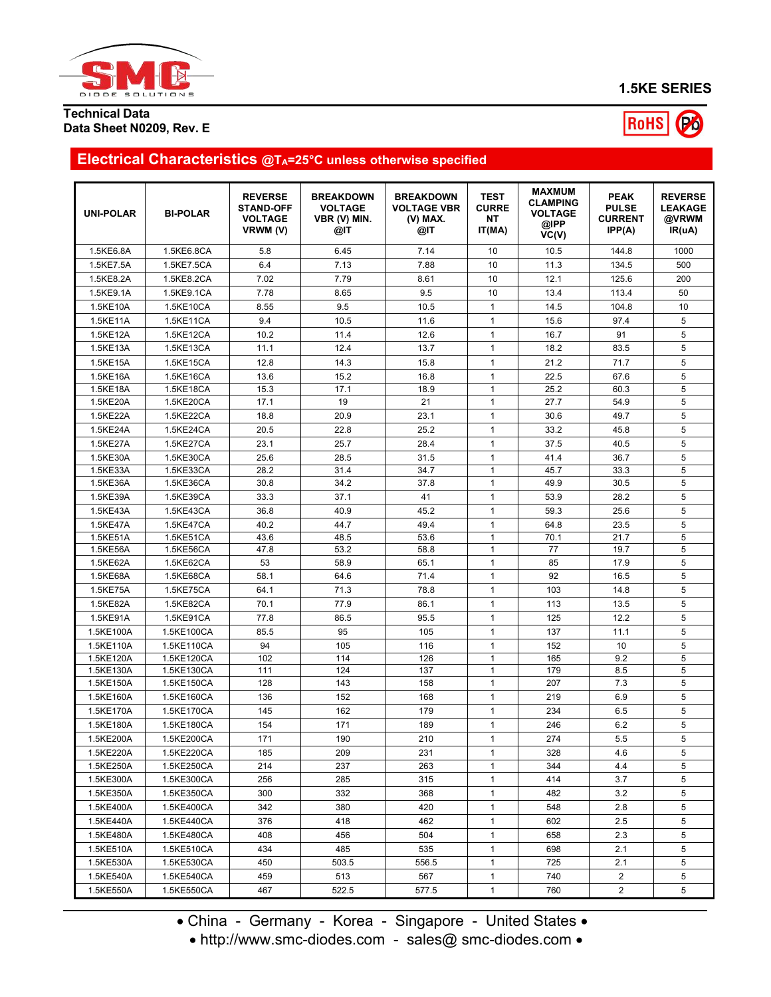

**1.5KE SERIES**

#### **Technical Data Data Sheet N0209, Rev. E**



## **Electrical Characteristics @TA=25°C unless otherwise specified**

| <b>UNI-POLAR</b>       | <b>BI-POLAR</b>          | <b>REVERSE</b><br><b>STAND-OFF</b><br><b>VOLTAGE</b><br>VRWM (V) | <b>BREAKDOWN</b><br><b>VOLTAGE</b><br>VBR (V) MIN.<br>@IT | <b>BREAKDOWN</b><br><b>VOLTAGE VBR</b><br>(V) MAX.<br>@IT | <b>TEST</b><br><b>CURRE</b><br><b>NT</b><br>IT(MA) | <b>MAXMUM</b><br><b>CLAMPING</b><br><b>VOLTAGE</b><br>@IPP<br>VC(V) | <b>PEAK</b><br><b>PULSE</b><br><b>CURRENT</b><br>IPP(A) | <b>REVERSE</b><br><b>LEAKAGE</b><br>@VRWM<br>IR(uA) |
|------------------------|--------------------------|------------------------------------------------------------------|-----------------------------------------------------------|-----------------------------------------------------------|----------------------------------------------------|---------------------------------------------------------------------|---------------------------------------------------------|-----------------------------------------------------|
| 1.5KE6.8A              | 1.5KE6.8CA               | 5.8                                                              | 6.45                                                      | 7.14                                                      | 10                                                 | 10.5                                                                | 144.8                                                   | 1000                                                |
| 1.5KE7.5A              | 1.5KE7.5CA               | 6.4                                                              | 7.13                                                      | 7.88                                                      | 10                                                 | 11.3                                                                | 134.5                                                   | 500                                                 |
| 1.5KE8.2A              | 1.5KE8.2CA               | 7.02                                                             | 7.79                                                      | 8.61                                                      | 10                                                 | 12.1                                                                | 125.6                                                   | 200                                                 |
| 1.5KE9.1A              | 1.5KE9.1CA               | 7.78                                                             | 8.65                                                      | 9.5                                                       | 10                                                 | 13.4                                                                | 113.4                                                   | 50                                                  |
| 1.5KE10A               | 1.5KE10CA                | 8.55                                                             | 9.5                                                       | 10.5                                                      | $\mathbf{1}$                                       | 14.5                                                                | 104.8                                                   | 10                                                  |
| 1.5KE11A               | 1.5KE11CA                | 9.4                                                              | 10.5                                                      | 11.6                                                      | $\mathbf{1}$                                       | 15.6                                                                | 97.4                                                    | 5                                                   |
| 1.5KE12A               | 1.5KE12CA                | 10.2                                                             | 11.4                                                      | 12.6                                                      | $\mathbf{1}$                                       | 16.7                                                                | 91                                                      | 5                                                   |
| 1.5KE13A               | 1.5KE13CA                | 11.1                                                             | 12.4                                                      | 13.7                                                      | $\mathbf{1}$                                       | 18.2                                                                | 83.5                                                    | 5                                                   |
| 1.5KE15A               | 1.5KE15CA                | 12.8                                                             | 14.3                                                      | 15.8                                                      | $\mathbf{1}$                                       | 21.2                                                                | 71.7                                                    | 5                                                   |
| 1.5KE16A               | 1.5KE16CA                | 13.6                                                             | 15.2                                                      | 16.8                                                      | $\mathbf{1}$                                       | 22.5                                                                | 67.6                                                    | 5                                                   |
| 1.5KE18A               | 1.5KE18CA                | 15.3                                                             | 17.1                                                      | 18.9                                                      | $\mathbf{1}$                                       | 25.2                                                                | 60.3                                                    | 5                                                   |
| 1.5KE20A               | 1.5KE20CA                | 17.1                                                             | 19                                                        | 21                                                        | $\mathbf{1}$                                       | 27.7                                                                | 54.9                                                    | 5                                                   |
| 1.5KE22A               | 1.5KE22CA                | 18.8                                                             | 20.9                                                      | 23.1                                                      | $\mathbf{1}$                                       | 30.6                                                                | 49.7                                                    | 5                                                   |
| 1.5KE24A               | 1.5KE24CA                | 20.5                                                             | 22.8                                                      | 25.2                                                      | $\mathbf{1}$                                       | 33.2                                                                | 45.8                                                    | 5                                                   |
| 1.5KE27A               | 1.5KE27CA                | 23.1                                                             | 25.7                                                      | 28.4                                                      | $\mathbf{1}$                                       | 37.5                                                                | 40.5                                                    | 5                                                   |
| 1.5KE30A               | 1.5KE30CA                | 25.6                                                             | 28.5                                                      | 31.5                                                      | $\mathbf{1}$                                       | 41.4                                                                | 36.7                                                    | 5                                                   |
| 1.5KE33A               | 1.5KE33CA                | 28.2                                                             | 31.4                                                      | 34.7                                                      | $\mathbf{1}$                                       | 45.7                                                                | 33.3                                                    | 5                                                   |
| 1.5KE36A               | 1.5KE36CA                | 30.8                                                             | 34.2                                                      | 37.8                                                      | $\mathbf{1}$                                       | 49.9                                                                | 30.5                                                    | 5                                                   |
| 1.5KE39A               | 1.5KE39CA                | 33.3                                                             | 37.1                                                      | 41                                                        | $\mathbf{1}$                                       | 53.9                                                                | 28.2                                                    | 5                                                   |
| 1.5KE43A               | 1.5KE43CA                | 36.8                                                             | 40.9                                                      | 45.2                                                      | $\mathbf{1}$                                       | 59.3                                                                | 25.6                                                    | 5                                                   |
| 1.5KE47A               | 1.5KE47CA                | 40.2                                                             | 44.7                                                      | 49.4                                                      | $\mathbf{1}$                                       | 64.8                                                                | 23.5                                                    | 5                                                   |
| 1.5KE51A               | 1.5KE51CA                | 43.6                                                             | 48.5                                                      | 53.6                                                      | $\mathbf{1}$                                       | 70.1                                                                | 21.7                                                    | 5                                                   |
| 1.5KE56A               | 1.5KE56CA                | 47.8                                                             | 53.2                                                      | 58.8                                                      | $\mathbf{1}$                                       | 77                                                                  | 19.7                                                    | 5                                                   |
| 1.5KE62A               | 1.5KE62CA                | 53                                                               | 58.9                                                      | 65.1                                                      | $\mathbf{1}$                                       | 85                                                                  | 17.9                                                    | 5                                                   |
| 1.5KE68A               | 1.5KE68CA                | 58.1                                                             | 64.6                                                      | 71.4                                                      | 1                                                  | 92                                                                  | 16.5                                                    | 5                                                   |
| 1.5KE75A               | 1.5KE75CA                | 64.1                                                             | 71.3                                                      | 78.8                                                      | $\mathbf{1}$                                       | 103                                                                 | 14.8                                                    | 5                                                   |
| 1.5KE82A               | 1.5KE82CA                | 70.1                                                             | 77.9                                                      | 86.1                                                      | $\mathbf{1}$                                       | 113                                                                 | 13.5                                                    | 5                                                   |
| 1.5KE91A               | 1.5KE91CA                | 77.8                                                             | 86.5                                                      | 95.5                                                      | $\mathbf{1}$                                       | 125                                                                 | 12.2                                                    | 5                                                   |
| 1.5KE100A              | 1.5KE100CA               | 85.5                                                             | 95                                                        | 105                                                       | $\mathbf{1}$                                       | 137                                                                 | 11.1                                                    | 5                                                   |
| 1.5KE110A              | 1.5KE110CA               | 94                                                               | 105                                                       | 116                                                       | $\mathbf{1}$                                       | 152                                                                 | 10                                                      | 5                                                   |
| 1.5KE120A              | 1.5KE120CA               | 102                                                              | 114<br>124                                                | 126<br>137                                                | $\mathbf{1}$<br>$\mathbf{1}$                       | 165<br>179                                                          | 9.2<br>8.5                                              | 5<br>5                                              |
| 1.5KE130A<br>1.5KE150A | 1.5KE130CA<br>1.5KE150CA | 111<br>128                                                       | 143                                                       | 158                                                       | $\mathbf{1}$                                       | 207                                                                 | 7.3                                                     | 5                                                   |
|                        |                          |                                                                  | 152                                                       | 168                                                       | $\mathbf{1}$                                       | 219                                                                 | 6.9                                                     | 5                                                   |
| 1.5KE160A<br>1.5KE170A | 1.5KE160CA               | 136<br>145                                                       | 162                                                       | 179                                                       | $\mathbf{1}$                                       | 234                                                                 | 6.5                                                     | 5                                                   |
| 1.5KE180A              | 1.5KE170CA               | 154                                                              | 171                                                       | 189                                                       | $\mathbf{1}$                                       | 246                                                                 | 6.2                                                     | 5                                                   |
| 1.5KE200A              | 1.5KE180CA               | 171                                                              | 190                                                       | 210                                                       | $\mathbf{1}$                                       |                                                                     | 5.5                                                     | 5                                                   |
|                        | 1.5KE200CA<br>1.5KE220CA |                                                                  |                                                           |                                                           |                                                    | 274                                                                 |                                                         |                                                     |
| 1.5KE220A<br>1.5KE250A | 1.5KE250CA               | 185<br>214                                                       | 209<br>237                                                | 231<br>263                                                | $\mathbf{1}$<br>$\mathbf{1}$                       | 328<br>344                                                          | 4.6<br>4.4                                              | 5<br>5                                              |
| 1.5KE300A              | 1.5KE300CA               | 256                                                              | 285                                                       | 315                                                       | 1                                                  | 414                                                                 | 3.7                                                     | 5                                                   |
|                        | 1.5KE350CA               |                                                                  | 332                                                       |                                                           |                                                    |                                                                     |                                                         | 5                                                   |
| 1.5KE350A              |                          | 300<br>342                                                       | 380                                                       | 368<br>420                                                | 1<br>$\mathbf{1}$                                  | 482<br>548                                                          | 3.2<br>2.8                                              | 5                                                   |
| 1.5KE400A              | 1.5KE400CA               |                                                                  |                                                           |                                                           |                                                    |                                                                     |                                                         | 5                                                   |
| 1.5KE440A              | 1.5KE440CA               | 376                                                              | 418                                                       | 462                                                       | $\mathbf{1}$                                       | 602                                                                 | 2.5                                                     |                                                     |
| 1.5KE480A              | 1.5KE480CA               | 408                                                              | 456                                                       | 504                                                       | $\mathbf{1}$                                       | 658                                                                 | 2.3                                                     | 5                                                   |
| 1.5KE510A              | 1.5KE510CA               | 434                                                              | 485                                                       | 535                                                       | $\mathbf{1}$                                       | 698                                                                 | 2.1                                                     | 5                                                   |
| 1.5KE530A              | 1.5KE530CA               | 450                                                              | 503.5                                                     | 556.5                                                     | $\mathbf{1}$                                       | 725                                                                 | 2.1                                                     | 5                                                   |
| 1.5KE540A              | 1.5KE540CA               | 459                                                              | 513                                                       | 567                                                       | $\mathbf{1}$                                       | 740                                                                 | $\overline{2}$                                          | 5                                                   |
| 1.5KE550A              | 1.5KE550CA               | 467                                                              | 522.5                                                     | 577.5                                                     | $\mathbf{1}$                                       | 760                                                                 | $\overline{c}$                                          | 5                                                   |

• China - Germany - Korea - Singapore - United States •

• http://www.smc-diodes.com - sales@ smc-diodes.com •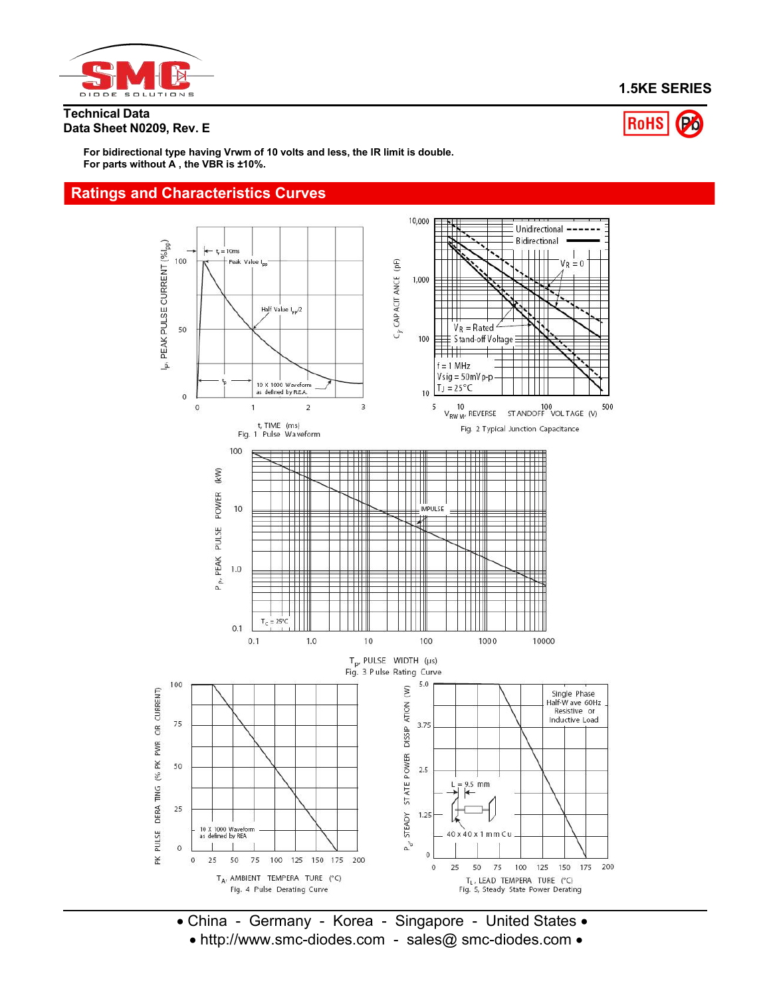

#### **1.5KE SERIES**

**Technical Data Data Sheet N0209, Rev. E**



**For bidirectional type having Vrwm of 10 volts and less, the IR limit is double. For parts without A , the VBR is ±10%.**

#### **Ratings and Characteristics Curves**



• China - Germany - Korea - Singapore - United States • • http://www.smc-diodes.com - sales@ smc-diodes.com •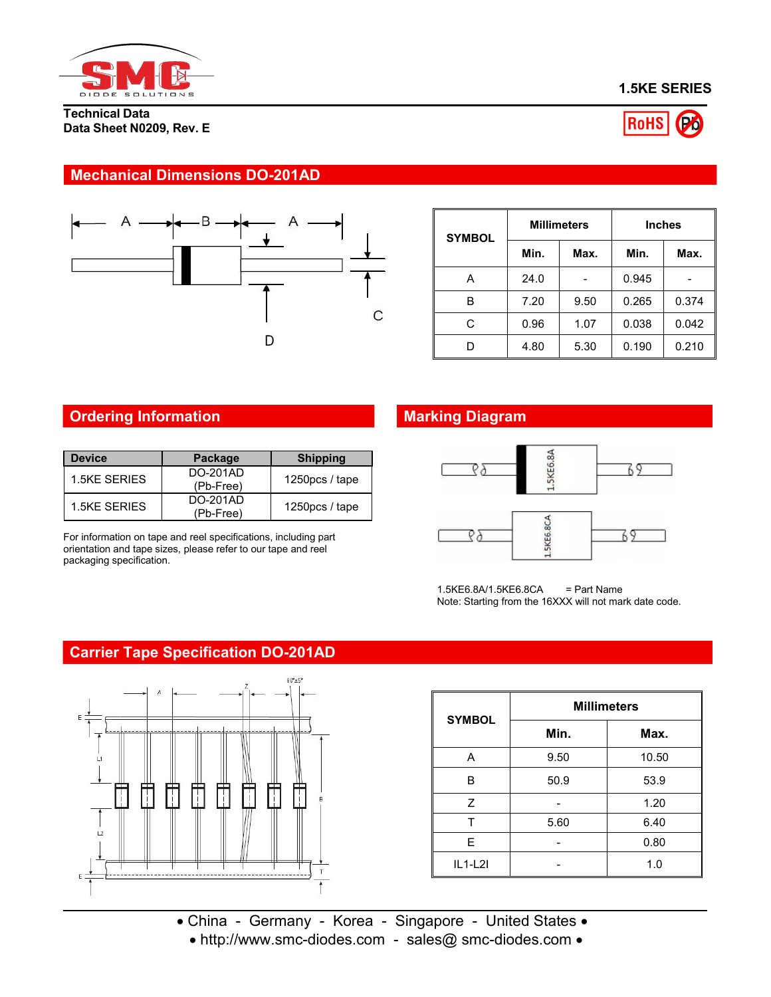

**Technical Data Data Sheet N0209, Rev. E**





### **Mechanical Dimensions DO-201AD**



| <b>SYMBOL</b> |      | <b>Millimeters</b> | <b>Inches</b> |       |  |
|---------------|------|--------------------|---------------|-------|--|
|               | Min. | Max.               | Min.          | Max.  |  |
| Α             | 24.0 | -                  | 0.945         | -     |  |
| в             | 7.20 | 9.50               | 0.265         | 0.374 |  |
| C             | 0.96 | 1.07               | 0.038         | 0.042 |  |
| D             | 4.80 | 5.30               | 0.190         | 0.210 |  |

## **Ordering Information**

| <b>Device</b> | Package                   | <b>Shipping</b>   |
|---------------|---------------------------|-------------------|
| 1.5KE SERIES  | DO-201AD<br>$(Pb - Free)$ | 1250 $pcs$ / tape |
| 1.5KE SERIES  | DO-201AD<br>(Pb-Free)     | 1250 $pcs$ / tape |

For information on tape and reel specifications, including part orientation and tape sizes, please refer to our tape and reel packaging specification.

# **Marking Diagram**



1.5KE6.8A/1.5KE6.8CA = Part Name Note: Starting from the 16XXX will not mark date code.

### **Carrier Tape Specification DO-201AD**



| <b>SYMBOL</b> | <b>Millimeters</b> |       |  |  |  |
|---------------|--------------------|-------|--|--|--|
|               | Min.               | Max.  |  |  |  |
| Α             | 9.50               | 10.50 |  |  |  |
| B             | 50.9               | 53.9  |  |  |  |
| Z             |                    | 1.20  |  |  |  |
|               | 5.60               | 6.40  |  |  |  |
| E             |                    | 0.80  |  |  |  |
| $IL1-L2I$     |                    | 1.0   |  |  |  |

• China - Germany - Korea - Singapore - United States • • http://www.smc-diodes.com - sales@ smc-diodes.com •